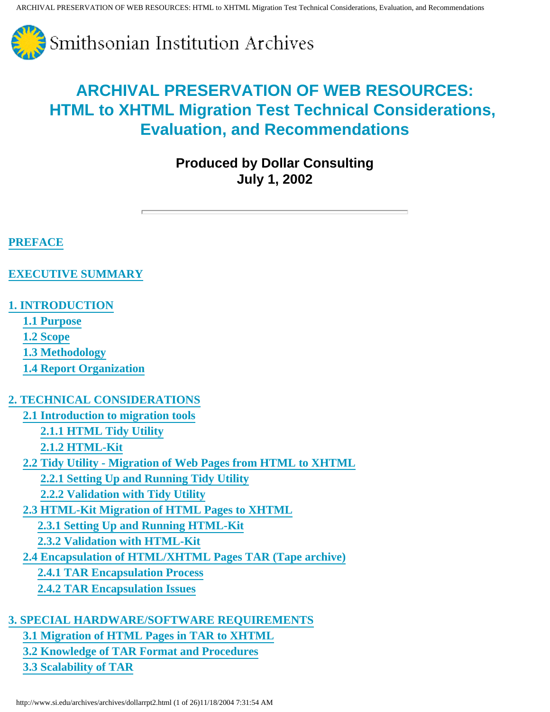

**Produced by Dollar Consulting July 1, 2002**

## **[PREFACE](#page-1-0)**

#### **[EXECUTIVE SUMMARY](#page-1-1)**

### **[1. INTRODUCTION](#page-3-0)**

 **[1.1 Purpose](#page-3-1)**

 **[1.2 Scope](#page-3-2)**

 **[1.3 Methodology](#page-4-0)**

 **[1.4 Report Organization](#page-4-1)**

#### **2. TECHNICAL CONSIDERATIONS**

 **[2.1 Introduction to migration tools](#page-5-0)**

 **[2.1.1 HTML Tidy Utility](#page-5-1)**

 **[2.1.2 HTML-Kit](#page-6-0)**

 **2.2 Tidy Utility - Migration of Web Pages from HTML to XHTML**

 **[2.2.1 Setting Up and Running Tidy Utility](#page-7-0)**

 **2.2.2 Validation with Tidy Utility**

 **[2.3 HTML-Kit Migration of HTML Pages to XHTML](#page-11-0)**

 **[2.3.1 Setting Up and Running HTML-Kit](#page-11-1)**

 **2.3.2 Validation with HTML-Kit**

 **[2.4 Encapsulation of HTML/XHTML Pages TAR \(Tape archive\)](#page-11-2)**

 **2.4.1 TAR Encapsulation Process**

 **2.4.2 TAR Encapsulation Issues**

#### **[3. SPECIAL HARDWARE/SOFTWARE REQUIREMENTS](#page-14-0)**

 **[3.1 Migration of HTML Pages in TAR to XHTML](#page-14-1)**

 **[3.2 Knowledge of TAR Format and Procedures](#page-14-2)**

 **[3.3 Scalability of TAR](#page-15-0)**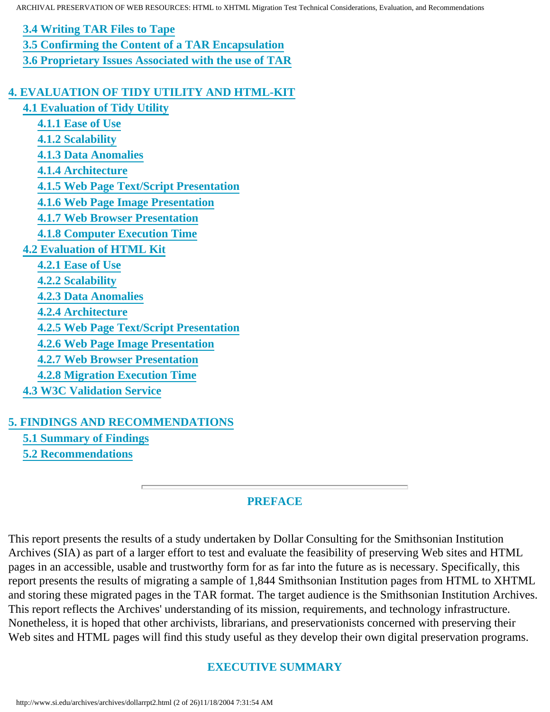**[3.4 Writing TAR Files to Tape](#page-15-1) [3.5 Confirming the Content of a TAR Encapsulation](#page-15-2) [3.6 Proprietary Issues Associated with the use of TAR](#page-15-3)**

#### **[4. EVALUATION OF TIDY UTILITY AND HTML-KIT](#page-16-0)**

 **4.1 Evaluation of Tidy Utility 4.1.1 Ease of Use 4.1.2 Scalability 4.1.3 Data Anomalies 4.1.4 Architecture 4.1.5 Web Page Text/Script Presentation 4.1.6 Web Page Image Presentation 4.1.7 Web Browser Presentation 4.1.8 Computer Execution Time [4.2 Evaluation of HTML Kit](#page-18-0) [4.2.1 Ease of Use](#page-18-1) [4.2.2 Scalability](#page-18-2) [4.2.3 Data Anomalies](#page-18-3) [4.2.4 Architecture](#page-18-4) [4.2.5 Web Page Text/Script Presentation](#page-18-5) [4.2.6 Web Page Image Presentation](#page-19-0) [4.2.7 Web Browser Presentation](#page-19-1) [4.2.8 Migration Execution Time](#page-19-2) 4.3 W3C Validation Service**

#### **[5. FINDINGS AND RECOMMENDATIONS](#page-20-0)**

 **5.1 Summary of Findings**

 **[5.2 Recommendations](#page-25-0)**

#### **PREFACE**

<span id="page-1-1"></span><span id="page-1-0"></span>This report presents the results of a study undertaken by Dollar Consulting for the Smithsonian Institution Archives (SIA) as part of a larger effort to test and evaluate the feasibility of preserving Web sites and HTML pages in an accessible, usable and trustworthy form for as far into the future as is necessary. Specifically, this report presents the results of migrating a sample of 1,844 Smithsonian Institution pages from HTML to XHTML and storing these migrated pages in the TAR format. The target audience is the Smithsonian Institution Archives. This report reflects the Archives' understanding of its mission, requirements, and technology infrastructure. Nonetheless, it is hoped that other archivists, librarians, and preservationists concerned with preserving their Web sites and HTML pages will find this study useful as they develop their own digital preservation programs.

#### **EXECUTIVE SUMMARY**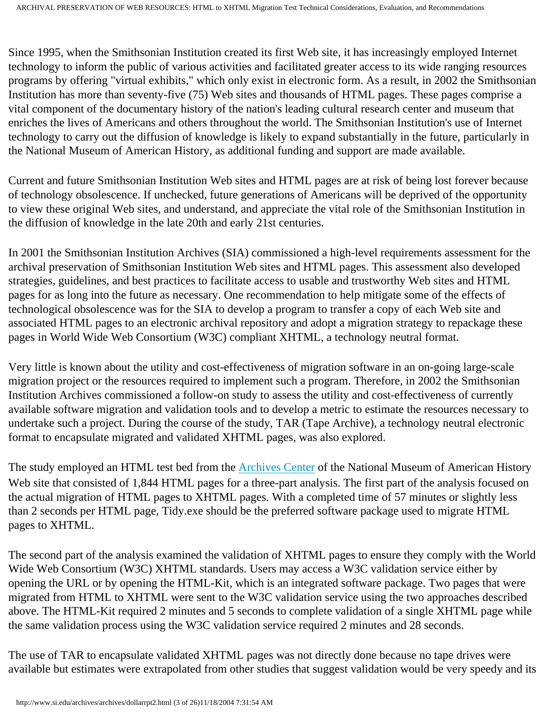Since 1995, when the Smithsonian Institution created its first Web site, it has increasingly employed Internet technology to inform the public of various activities and facilitated greater access to its wide ranging resources programs by offering "virtual exhibits," which only exist in electronic form. As a result, in 2002 the Smithsonian Institution has more than seventy-five (75) Web sites and thousands of HTML pages. These pages comprise a vital component of the documentary history of the nation's leading cultural research center and museum that enriches the lives of Americans and others throughout the world. The Smithsonian Institution's use of Internet technology to carry out the diffusion of knowledge is likely to expand substantially in the future, particularly in the National Museum of American History, as additional funding and support are made available.

Current and future Smithsonian Institution Web sites and HTML pages are at risk of being lost forever because of technology obsolescence. If unchecked, future generations of Americans will be deprived of the opportunity to view these original Web sites, and understand, and appreciate the vital role of the Smithsonian Institution in the diffusion of knowledge in the late 20th and early 21st centuries.

In 2001 the Smithsonian Institution Archives (SIA) commissioned a high-level requirements assessment for the archival preservation of Smithsonian Institution Web sites and HTML pages. This assessment also developed strategies, guidelines, and best practices to facilitate access to usable and trustworthy Web sites and HTML pages for as long into the future as necessary. One recommendation to help mitigate some of the effects of technological obsolescence was for the SIA to develop a program to transfer a copy of each Web site and associated HTML pages to an electronic archival repository and adopt a migration strategy to repackage these pages in World Wide Web Consortium (W3C) compliant XHTML, a technology neutral format.

Very little is known about the utility and cost-effectiveness of migration software in an on-going large-scale migration project or the resources required to implement such a program. Therefore, in 2002 the Smithsonian Institution Archives commissioned a follow-on study to assess the utility and cost-effectiveness of currently available software migration and validation tools and to develop a metric to estimate the resources necessary to undertake such a project. During the course of the study, TAR (Tape Archive), a technology neutral electronic format to encapsulate migrated and validated XHTML pages, was also explored.

The study employed an HTML test bed from the [Archives Center](http://americanhistory.si.edu/archives/ac-i.htm) of the National Museum of American History Web site that consisted of 1,844 HTML pages for a three-part analysis. The first part of the analysis focused on the actual migration of HTML pages to XHTML pages. With a completed time of 57 minutes or slightly less than 2 seconds per HTML page, Tidy.exe should be the preferred software package used to migrate HTML pages to XHTML.

The second part of the analysis examined the validation of XHTML pages to ensure they comply with the World Wide Web Consortium (W3C) XHTML standards. Users may access a W3C validation service either by opening the URL or by opening the HTML-Kit, which is an integrated software package. Two pages that were migrated from HTML to XHTML were sent to the W3C validation service using the two approaches described above. The HTML-Kit required 2 minutes and 5 seconds to complete validation of a single XHTML page while the same validation process using the W3C validation service required 2 minutes and 28 seconds.

The use of TAR to encapsulate validated XHTML pages was not directly done because no tape drives were available but estimates were extrapolated from other studies that suggest validation would be very speedy and its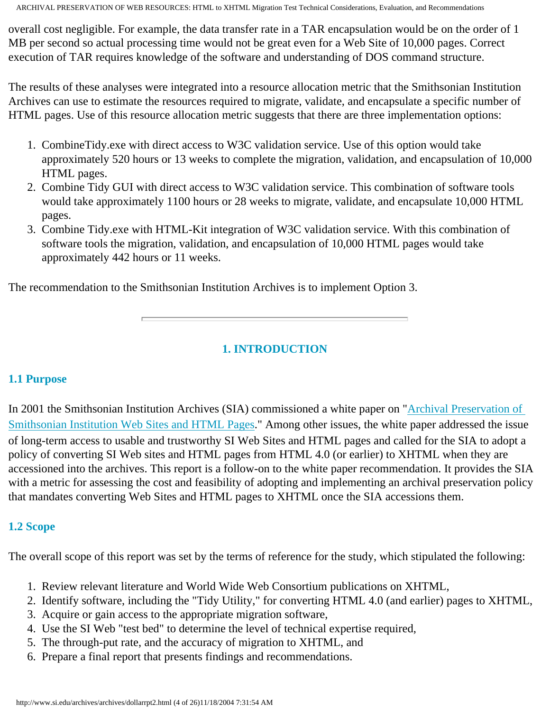overall cost negligible. For example, the data transfer rate in a TAR encapsulation would be on the order of 1 MB per second so actual processing time would not be great even for a Web Site of 10,000 pages. Correct execution of TAR requires knowledge of the software and understanding of DOS command structure.

The results of these analyses were integrated into a resource allocation metric that the Smithsonian Institution Archives can use to estimate the resources required to migrate, validate, and encapsulate a specific number of HTML pages. Use of this resource allocation metric suggests that there are three implementation options:

- 1. CombineTidy.exe with direct access to W3C validation service. Use of this option would take approximately 520 hours or 13 weeks to complete the migration, validation, and encapsulation of 10,000 HTML pages.
- 2. Combine Tidy GUI with direct access to W3C validation service. This combination of software tools would take approximately 1100 hours or 28 weeks to migrate, validate, and encapsulate 10,000 HTML pages.
- 3. Combine Tidy.exe with HTML-Kit integration of W3C validation service. With this combination of software tools the migration, validation, and encapsulation of 10,000 HTML pages would take approximately 442 hours or 11 weeks.

The recommendation to the Smithsonian Institution Archives is to implement Option 3.

## **1. INTRODUCTION**

#### <span id="page-3-1"></span><span id="page-3-0"></span>**1.1 Purpose**

In 2001 the Smithsonian Institution Archives (SIA) commissioned a white paper on "[Archival Preservation of](http://www.si.edu/archives/archives/dollar report.html)  [Smithsonian Institution Web Sites and HTML Pages](http://www.si.edu/archives/archives/dollar report.html)." Among other issues, the white paper addressed the issue of long-term access to usable and trustworthy SI Web Sites and HTML pages and called for the SIA to adopt a policy of converting SI Web sites and HTML pages from HTML 4.0 (or earlier) to XHTML when they are accessioned into the archives. This report is a follow-on to the white paper recommendation. It provides the SIA with a metric for assessing the cost and feasibility of adopting and implementing an archival preservation policy that mandates converting Web Sites and HTML pages to XHTML once the SIA accessions them.

#### <span id="page-3-2"></span>**1.2 Scope**

The overall scope of this report was set by the terms of reference for the study, which stipulated the following:

- 1. Review relevant literature and World Wide Web Consortium publications on XHTML,
- 2. Identify software, including the "Tidy Utility," for converting HTML 4.0 (and earlier) pages to XHTML,
- 3. Acquire or gain access to the appropriate migration software,
- 4. Use the SI Web "test bed" to determine the level of technical expertise required,
- 5. The through-put rate, and the accuracy of migration to XHTML, and
- 6. Prepare a final report that presents findings and recommendations.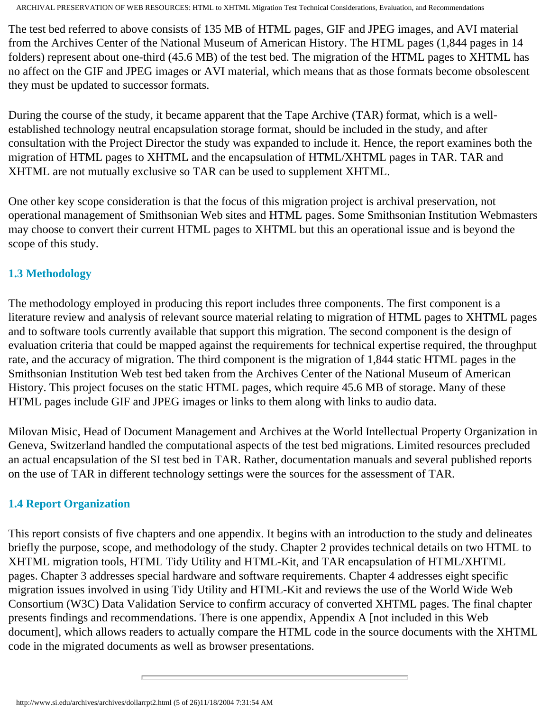The test bed referred to above consists of 135 MB of HTML pages, GIF and JPEG images, and AVI material from the Archives Center of the National Museum of American History. The HTML pages (1,844 pages in 14 folders) represent about one-third (45.6 MB) of the test bed. The migration of the HTML pages to XHTML has no affect on the GIF and JPEG images or AVI material, which means that as those formats become obsolescent they must be updated to successor formats.

During the course of the study, it became apparent that the Tape Archive (TAR) format, which is a wellestablished technology neutral encapsulation storage format, should be included in the study, and after consultation with the Project Director the study was expanded to include it. Hence, the report examines both the migration of HTML pages to XHTML and the encapsulation of HTML/XHTML pages in TAR. TAR and XHTML are not mutually exclusive so TAR can be used to supplement XHTML.

One other key scope consideration is that the focus of this migration project is archival preservation, not operational management of Smithsonian Web sites and HTML pages. Some Smithsonian Institution Webmasters may choose to convert their current HTML pages to XHTML but this an operational issue and is beyond the scope of this study.

### <span id="page-4-0"></span>**1.3 Methodology**

The methodology employed in producing this report includes three components. The first component is a literature review and analysis of relevant source material relating to migration of HTML pages to XHTML pages and to software tools currently available that support this migration. The second component is the design of evaluation criteria that could be mapped against the requirements for technical expertise required, the throughput rate, and the accuracy of migration. The third component is the migration of 1,844 static HTML pages in the Smithsonian Institution Web test bed taken from the Archives Center of the National Museum of American History. This project focuses on the static HTML pages, which require 45.6 MB of storage. Many of these HTML pages include GIF and JPEG images or links to them along with links to audio data.

Milovan Misic, Head of Document Management and Archives at the World Intellectual Property Organization in Geneva, Switzerland handled the computational aspects of the test bed migrations. Limited resources precluded an actual encapsulation of the SI test bed in TAR. Rather, documentation manuals and several published reports on the use of TAR in different technology settings were the sources for the assessment of TAR.

## <span id="page-4-1"></span>**1.4 Report Organization**

This report consists of five chapters and one appendix. It begins with an introduction to the study and delineates briefly the purpose, scope, and methodology of the study. Chapter 2 provides technical details on two HTML to XHTML migration tools, HTML Tidy Utility and HTML-Kit, and TAR encapsulation of HTML/XHTML pages. Chapter 3 addresses special hardware and software requirements. Chapter 4 addresses eight specific migration issues involved in using Tidy Utility and HTML-Kit and reviews the use of the World Wide Web Consortium (W3C) Data Validation Service to confirm accuracy of converted XHTML pages. The final chapter presents findings and recommendations. There is one appendix, Appendix A [not included in this Web document], which allows readers to actually compare the HTML code in the source documents with the XHTML code in the migrated documents as well as browser presentations.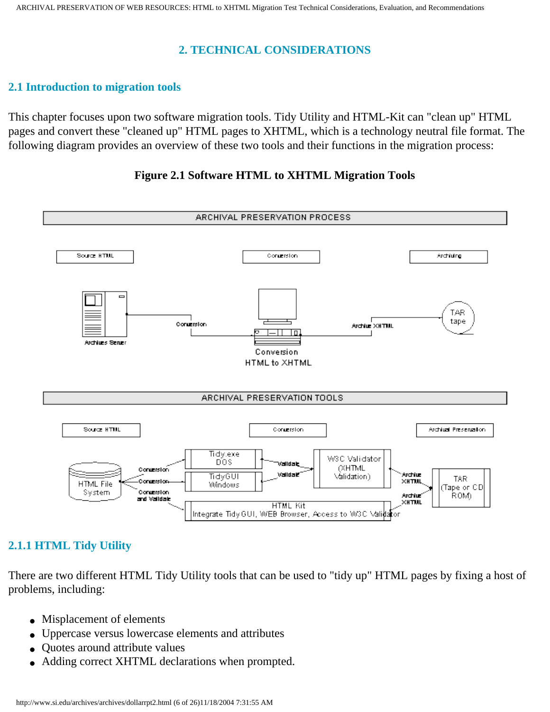#### **2. TECHNICAL CONSIDERATIONS**

#### <span id="page-5-0"></span>**2.1 Introduction to migration tools**

This chapter focuses upon two software migration tools. Tidy Utility and HTML-Kit can "clean up" HTML pages and convert these "cleaned up" HTML pages to XHTML, which is a technology neutral file format. The following diagram provides an overview of these two tools and their functions in the migration process:

#### **Figure 2.1 Software HTML to XHTML Migration Tools**



## <span id="page-5-1"></span>**2.1.1 HTML Tidy Utility**

There are two different HTML Tidy Utility tools that can be used to "tidy up" HTML pages by fixing a host of problems, including:

- Misplacement of elements
- Uppercase versus lowercase elements and attributes
- Quotes around attribute values
- Adding correct XHTML declarations when prompted.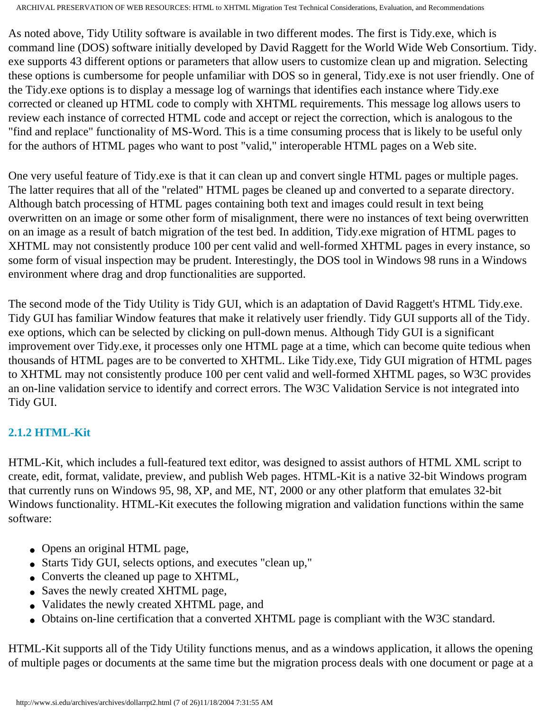As noted above, Tidy Utility software is available in two different modes. The first is Tidy.exe, which is command line (DOS) software initially developed by David Raggett for the World Wide Web Consortium. Tidy. exe supports 43 different options or parameters that allow users to customize clean up and migration. Selecting these options is cumbersome for people unfamiliar with DOS so in general, Tidy.exe is not user friendly. One of the Tidy.exe options is to display a message log of warnings that identifies each instance where Tidy.exe corrected or cleaned up HTML code to comply with XHTML requirements. This message log allows users to review each instance of corrected HTML code and accept or reject the correction, which is analogous to the "find and replace" functionality of MS-Word. This is a time consuming process that is likely to be useful only for the authors of HTML pages who want to post "valid," interoperable HTML pages on a Web site.

One very useful feature of Tidy.exe is that it can clean up and convert single HTML pages or multiple pages. The latter requires that all of the "related" HTML pages be cleaned up and converted to a separate directory. Although batch processing of HTML pages containing both text and images could result in text being overwritten on an image or some other form of misalignment, there were no instances of text being overwritten on an image as a result of batch migration of the test bed. In addition, Tidy.exe migration of HTML pages to XHTML may not consistently produce 100 per cent valid and well-formed XHTML pages in every instance, so some form of visual inspection may be prudent. Interestingly, the DOS tool in Windows 98 runs in a Windows environment where drag and drop functionalities are supported.

The second mode of the Tidy Utility is Tidy GUI, which is an adaptation of David Raggett's HTML Tidy.exe. Tidy GUI has familiar Window features that make it relatively user friendly. Tidy GUI supports all of the Tidy. exe options, which can be selected by clicking on pull-down menus. Although Tidy GUI is a significant improvement over Tidy.exe, it processes only one HTML page at a time, which can become quite tedious when thousands of HTML pages are to be converted to XHTML. Like Tidy.exe, Tidy GUI migration of HTML pages to XHTML may not consistently produce 100 per cent valid and well-formed XHTML pages, so W3C provides an on-line validation service to identify and correct errors. The W3C Validation Service is not integrated into Tidy GUI.

## <span id="page-6-0"></span>**2.1.2 HTML-Kit**

HTML-Kit, which includes a full-featured text editor, was designed to assist authors of HTML XML script to create, edit, format, validate, preview, and publish Web pages. HTML-Kit is a native 32-bit Windows program that currently runs on Windows 95, 98, XP, and ME, NT, 2000 or any other platform that emulates 32-bit Windows functionality. HTML-Kit executes the following migration and validation functions within the same software:

- Opens an original HTML page,
- Starts Tidy GUI, selects options, and executes "clean up,"
- Converts the cleaned up page to XHTML,
- Saves the newly created XHTML page,
- Validates the newly created XHTML page, and
- Obtains on-line certification that a converted XHTML page is compliant with the W3C standard.

HTML-Kit supports all of the Tidy Utility functions menus, and as a windows application, it allows the opening of multiple pages or documents at the same time but the migration process deals with one document or page at a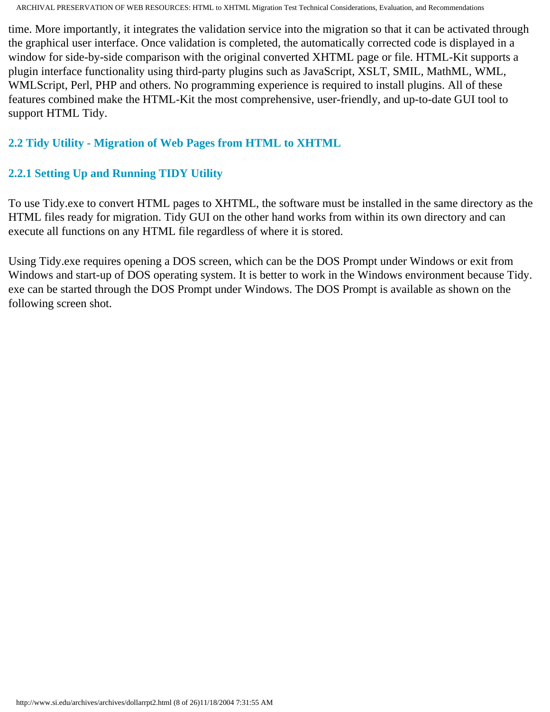time. More importantly, it integrates the validation service into the migration so that it can be activated through the graphical user interface. Once validation is completed, the automatically corrected code is displayed in a window for side-by-side comparison with the original converted XHTML page or file. HTML-Kit supports a plugin interface functionality using third-party plugins such as JavaScript, XSLT, SMIL, MathML, WML, WMLScript, Perl, PHP and others. No programming experience is required to install plugins. All of these features combined make the HTML-Kit the most comprehensive, user-friendly, and up-to-date GUI tool to support HTML Tidy.

### **2.2 Tidy Utility - Migration of Web Pages from HTML to XHTML**

### <span id="page-7-0"></span>**2.2.1 Setting Up and Running TIDY Utility**

To use Tidy.exe to convert HTML pages to XHTML, the software must be installed in the same directory as the HTML files ready for migration. Tidy GUI on the other hand works from within its own directory and can execute all functions on any HTML file regardless of where it is stored.

Using Tidy.exe requires opening a DOS screen, which can be the DOS Prompt under Windows or exit from Windows and start-up of DOS operating system. It is better to work in the Windows environment because Tidy. exe can be started through the DOS Prompt under Windows. The DOS Prompt is available as shown on the following screen shot.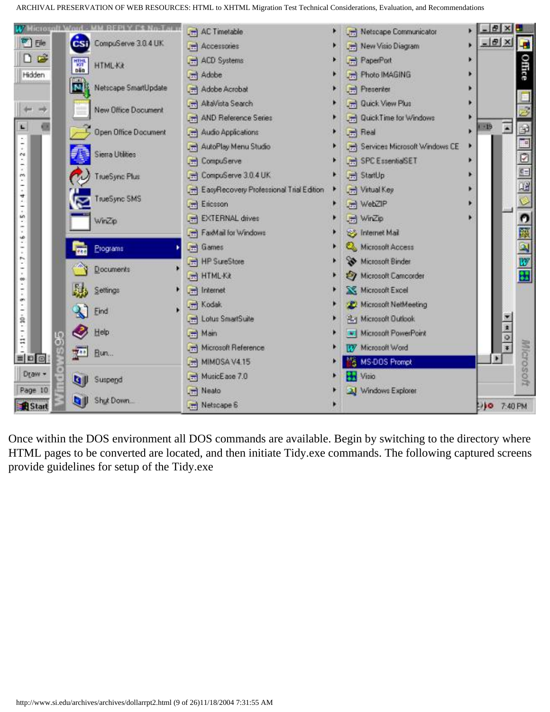

Once within the DOS environment all DOS commands are available. Begin by switching to the directory where HTML pages to be converted are located, and then initiate Tidy.exe commands. The following captured screens provide guidelines for setup of the Tidy.exe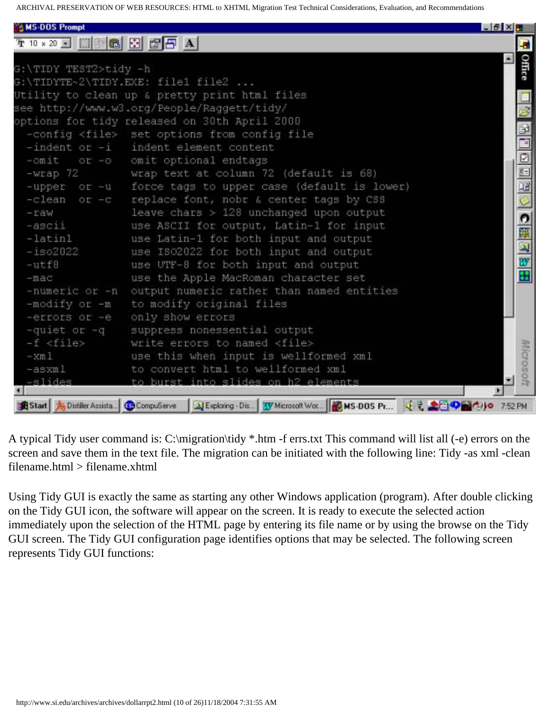| <b>SMS-DOS Prompt</b> |                                                                                                         | $-6 \times B$ |                                                         |
|-----------------------|---------------------------------------------------------------------------------------------------------|---------------|---------------------------------------------------------|
|                       |                                                                                                         |               | -8                                                      |
|                       |                                                                                                         |               |                                                         |
| G:\TIDY TEST2>tidy -h |                                                                                                         |               | Office                                                  |
|                       | G:\TIDYTE~2\TIDY.EXE: file1 file2                                                                       |               |                                                         |
|                       | Utility to clean up & pretty print html files                                                           |               |                                                         |
|                       | see http://www.w3.org/People/Raggett/tidy/                                                              |               | $\frac{1}{2}$                                           |
|                       | options for tidy released on 30th April 2000                                                            |               |                                                         |
|                       | -config <file> set options from config file</file>                                                      |               |                                                         |
|                       | $-$ indent or $-i$ indent element content                                                               |               |                                                         |
| $-$ omit              | or -o cmit optional endtags                                                                             |               | $\frac{1}{2}$ $\frac{1}{2}$ $\frac{1}{2}$ $\frac{1}{2}$ |
| $-Wrap$ 72            | wrap text at column 72 (default is 68)                                                                  |               |                                                         |
|                       | -upper or -u force tags to upper case (default is lower)                                                |               |                                                         |
|                       | -clean or -c replace font, nobr & center tags by CSS                                                    |               |                                                         |
| $-$ raw               | leave chars > 128 unchanged upon output                                                                 |               |                                                         |
| $-ascii$              | use ASCII for output, Latin-1 for input                                                                 |               | 中国 2 脚田                                                 |
| $-$ latin $1$         | use Latin-1 for both input and output                                                                   |               |                                                         |
| $-1802022$            | use ISO2022 for both input and output                                                                   |               |                                                         |
| $-$ utf8              | use UTF-8 for both input and output                                                                     |               |                                                         |
| $-mac$                | use the Apple MacRoman character set                                                                    |               |                                                         |
|                       | -numeric or -n output numeric rather than named entities                                                |               |                                                         |
| -modify or -m         | to modify original files                                                                                |               |                                                         |
|                       | -errors or -e only show errors                                                                          |               |                                                         |
| -quiet or -q          | suppress nonessential output                                                                            |               |                                                         |
| -f <file></file>      | write errors to named <file></file>                                                                     |               |                                                         |
| $-xm1$                | use this when input is wellformed xml                                                                   |               | Microson                                                |
| -asxml                | to convert html to wellformed xml                                                                       |               |                                                         |
| -slides               | to burst into slides on h2 elements                                                                     |               |                                                         |
|                       | Start & Distiller Assista. GC CompuServe 3 Exploring - Dis TV Microsoft Wor 3 MS-DOS Pr 3 3 2 2 9 34 10 | 7:52 PM       |                                                         |

A typical Tidy user command is: C:\migration\tidy \*.htm -f errs.txt This command will list all (-e) errors on the screen and save them in the text file. The migration can be initiated with the following line: Tidy -as xml -clean filename.html > filename.xhtml

Using Tidy GUI is exactly the same as starting any other Windows application (program). After double clicking on the Tidy GUI icon, the software will appear on the screen. It is ready to execute the selected action immediately upon the selection of the HTML page by entering its file name or by using the browse on the Tidy GUI screen. The Tidy GUI configuration page identifies options that may be selected. The following screen represents Tidy GUI functions: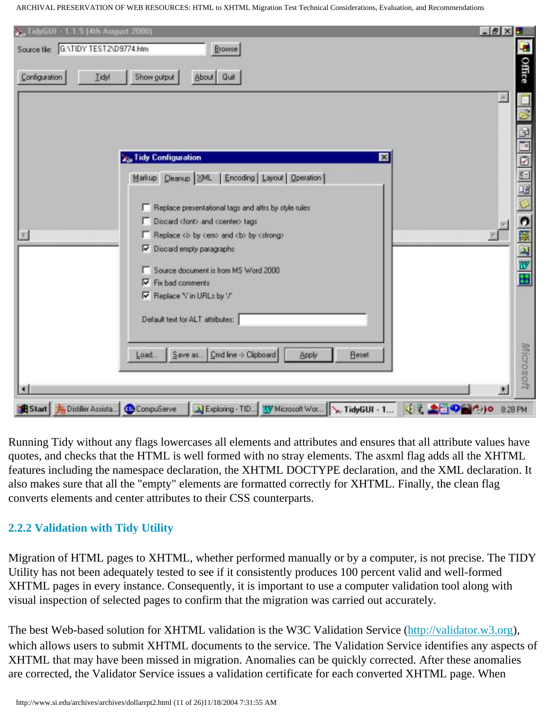| 2. TidyGUI - 1.1.5 (4th August 2000)<br>Source file: G:\TIDY TEST2\D9774.htm<br>Browse                                                                                                    | $-19 \times 5$<br>$\blacksquare$ |
|-------------------------------------------------------------------------------------------------------------------------------------------------------------------------------------------|----------------------------------|
| Configuration<br>Iidy!<br>Show gutput<br>About Quit                                                                                                                                       | Office                           |
|                                                                                                                                                                                           |                                  |
| <b>Z<sub>ip</sub>Tidy Configuration</b><br>⊠<br>Markup Cleanup   XML   Encoding   Layout   Operation                                                                                      | Ø                                |
| F Replace presentational tags and attrs by style rules<br>Discard clonb and coenter> tags<br>F Replace <b <em="" by=""> and <b> by <strong><br/>Discard empty paragraphs</strong></b></b> |                                  |
| Source document is from MS Word 2000<br>$\nabla$ Fix bad comments<br>Replace '\' in URLs by '/'                                                                                           | 中国 図 図 田                         |
| Default text for ALT attributes:                                                                                                                                                          |                                  |
| Save as  Cmd line -> Clipboard<br>Reset<br>Apply<br>Load.                                                                                                                                 | Microsoft<br>×                   |

Running Tidy without any flags lowercases all elements and attributes and ensures that all attribute values have quotes, and checks that the HTML is well formed with no stray elements. The asxml flag adds all the XHTML features including the namespace declaration, the XHTML DOCTYPE declaration, and the XML declaration. It also makes sure that all the "empty" elements are formatted correctly for XHTML. Finally, the clean flag converts elements and center attributes to their CSS counterparts.

## **2.2.2 Validation with Tidy Utility**

Migration of HTML pages to XHTML, whether performed manually or by a computer, is not precise. The TIDY Utility has not been adequately tested to see if it consistently produces 100 percent valid and well-formed XHTML pages in every instance. Consequently, it is important to use a computer validation tool along with visual inspection of selected pages to confirm that the migration was carried out accurately.

The best Web-based solution for XHTML validation is the W3C Validation Service [\(http://validator.w3.org](http://validator.w3.org/)), which allows users to submit XHTML documents to the service. The Validation Service identifies any aspects of XHTML that may have been missed in migration. Anomalies can be quickly corrected. After these anomalies are corrected, the Validator Service issues a validation certificate for each converted XHTML page. When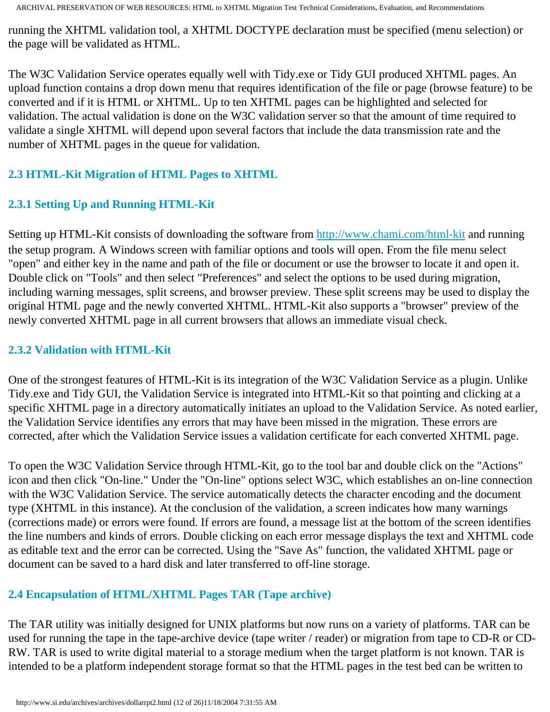running the XHTML validation tool, a XHTML DOCTYPE declaration must be specified (menu selection) or the page will be validated as HTML.

The W3C Validation Service operates equally well with Tidy.exe or Tidy GUI produced XHTML pages. An upload function contains a drop down menu that requires identification of the file or page (browse feature) to be converted and if it is HTML or XHTML. Up to ten XHTML pages can be highlighted and selected for validation. The actual validation is done on the W3C validation server so that the amount of time required to validate a single XHTML will depend upon several factors that include the data transmission rate and the number of XHTML pages in the queue for validation.

## <span id="page-11-0"></span>**2.3 HTML-Kit Migration of HTML Pages to XHTML**

## <span id="page-11-1"></span>**2.3.1 Setting Up and Running HTML-Kit**

Setting up HTML-Kit consists of downloading the software from <http://www.chami.com/html-kit> and running the setup program. A Windows screen with familiar options and tools will open. From the file menu select "open" and either key in the name and path of the file or document or use the browser to locate it and open it. Double click on "Tools" and then select "Preferences" and select the options to be used during migration, including warning messages, split screens, and browser preview. These split screens may be used to display the original HTML page and the newly converted XHTML. HTML-Kit also supports a "browser" preview of the newly converted XHTML page in all current browsers that allows an immediate visual check.

## **2.3.2 Validation with HTML-Kit**

One of the strongest features of HTML-Kit is its integration of the W3C Validation Service as a plugin. Unlike Tidy.exe and Tidy GUI, the Validation Service is integrated into HTML-Kit so that pointing and clicking at a specific XHTML page in a directory automatically initiates an upload to the Validation Service. As noted earlier, the Validation Service identifies any errors that may have been missed in the migration. These errors are corrected, after which the Validation Service issues a validation certificate for each converted XHTML page.

To open the W3C Validation Service through HTML-Kit, go to the tool bar and double click on the "Actions" icon and then click "On-line." Under the "On-line" options select W3C, which establishes an on-line connection with the W3C Validation Service. The service automatically detects the character encoding and the document type (XHTML in this instance). At the conclusion of the validation, a screen indicates how many warnings (corrections made) or errors were found. If errors are found, a message list at the bottom of the screen identifies the line numbers and kinds of errors. Double clicking on each error message displays the text and XHTML code as editable text and the error can be corrected. Using the "Save As" function, the validated XHTML page or document can be saved to a hard disk and later transferred to off-line storage.

## <span id="page-11-2"></span>**2.4 Encapsulation of HTML/XHTML Pages TAR (Tape archive)**

The TAR utility was initially designed for UNIX platforms but now runs on a variety of platforms. TAR can be used for running the tape in the tape-archive device (tape writer / reader) or migration from tape to CD-R or CD-RW. TAR is used to write digital material to a storage medium when the target platform is not known. TAR is intended to be a platform independent storage format so that the HTML pages in the test bed can be written to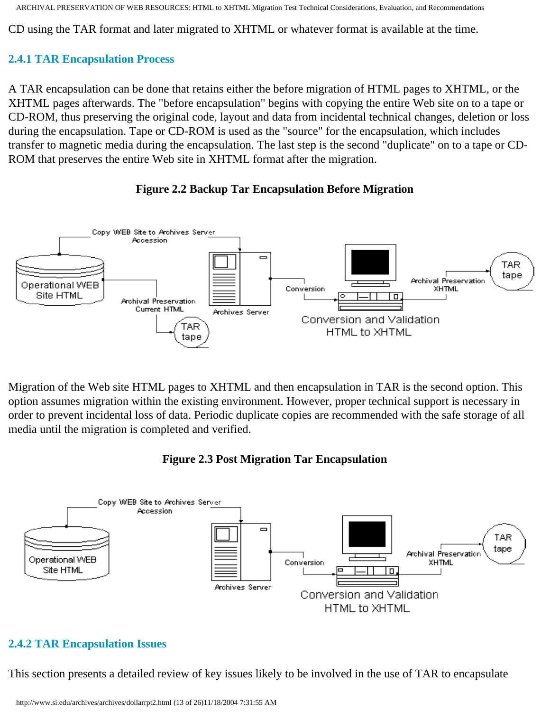CD using the TAR format and later migrated to XHTML or whatever format is available at the time.

## **2.4.1 TAR Encapsulation Process**

A TAR encapsulation can be done that retains either the before migration of HTML pages to XHTML, or the XHTML pages afterwards. The "before encapsulation" begins with copying the entire Web site on to a tape or CD-ROM, thus preserving the original code, layout and data from incidental technical changes, deletion or loss during the encapsulation. Tape or CD-ROM is used as the "source" for the encapsulation, which includes transfer to magnetic media during the encapsulation. The last step is the second "duplicate" on to a tape or CD-ROM that preserves the entire Web site in XHTML format after the migration.





Migration of the Web site HTML pages to XHTML and then encapsulation in TAR is the second option. This option assumes migration within the existing environment. However, proper technical support is necessary in order to prevent incidental loss of data. Periodic duplicate copies are recommended with the safe storage of all media until the migration is completed and verified.

## **Figure 2.3 Post Migration Tar Encapsulation**



## **2.4.2 TAR Encapsulation Issues**

This section presents a detailed review of key issues likely to be involved in the use of TAR to encapsulate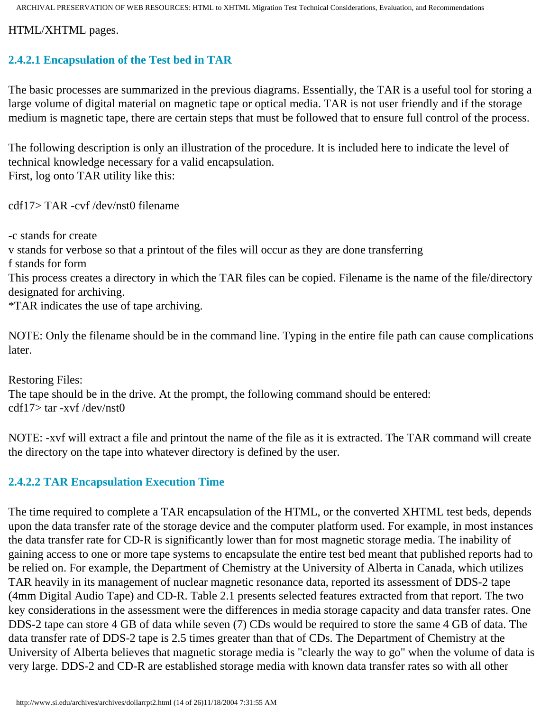HTML/XHTML pages.

### **2.4.2.1 Encapsulation of the Test bed in TAR**

The basic processes are summarized in the previous diagrams. Essentially, the TAR is a useful tool for storing a large volume of digital material on magnetic tape or optical media. TAR is not user friendly and if the storage medium is magnetic tape, there are certain steps that must be followed that to ensure full control of the process.

The following description is only an illustration of the procedure. It is included here to indicate the level of technical knowledge necessary for a valid encapsulation. First, log onto TAR utility like this:

cdf17> TAR -cvf /dev/nst0 filename

-c stands for create

v stands for verbose so that a printout of the files will occur as they are done transferring

f stands for form

This process creates a directory in which the TAR files can be copied. Filename is the name of the file/directory designated for archiving.

\*TAR indicates the use of tape archiving.

NOTE: Only the filename should be in the command line. Typing in the entire file path can cause complications later.

Restoring Files: The tape should be in the drive. At the prompt, the following command should be entered: cdf17> tar -xvf /dev/nst0

NOTE: -xvf will extract a file and printout the name of the file as it is extracted. The TAR command will create the directory on the tape into whatever directory is defined by the user.

#### **2.4.2.2 TAR Encapsulation Execution Time**

The time required to complete a TAR encapsulation of the HTML, or the converted XHTML test beds, depends upon the data transfer rate of the storage device and the computer platform used. For example, in most instances the data transfer rate for CD-R is significantly lower than for most magnetic storage media. The inability of gaining access to one or more tape systems to encapsulate the entire test bed meant that published reports had to be relied on. For example, the Department of Chemistry at the University of Alberta in Canada, which utilizes TAR heavily in its management of nuclear magnetic resonance data, reported its assessment of DDS-2 tape (4mm Digital Audio Tape) and CD-R. Table 2.1 presents selected features extracted from that report. The two key considerations in the assessment were the differences in media storage capacity and data transfer rates. One DDS-2 tape can store 4 GB of data while seven (7) CDs would be required to store the same 4 GB of data. The data transfer rate of DDS-2 tape is 2.5 times greater than that of CDs. The Department of Chemistry at the University of Alberta believes that magnetic storage media is "clearly the way to go" when the volume of data is very large. DDS-2 and CD-R are established storage media with known data transfer rates so with all other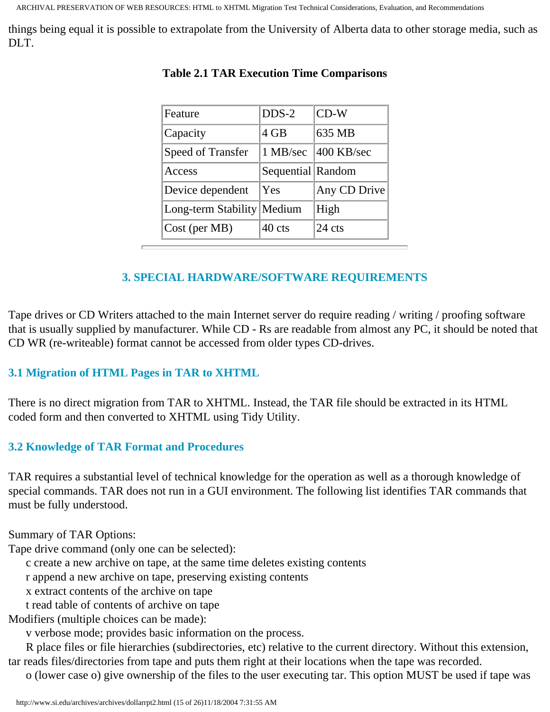things being equal it is possible to extrapolate from the University of Alberta data to other storage media, such as DLT.

| Feature                    | $DDS-2$           | $CD-W$       |
|----------------------------|-------------------|--------------|
| Capacity                   | 4 GB              | 635 MB       |
| Speed of Transfer          | 1 MB/sec          | 400 KB/sec   |
| Access                     | Sequential Random |              |
| Device dependent           | Yes               | Any CD Drive |
| Long-term Stability Medium |                   | High         |
| $\vert$ Cost (per MB)      | 40 cts            | 24 cts       |

### **Table 2.1 TAR Execution Time Comparisons**

### **3. SPECIAL HARDWARE/SOFTWARE REQUIREMENTS**

<span id="page-14-0"></span>Tape drives or CD Writers attached to the main Internet server do require reading / writing / proofing software that is usually supplied by manufacturer. While CD - Rs are readable from almost any PC, it should be noted that CD WR (re-writeable) format cannot be accessed from older types CD-drives.

## <span id="page-14-1"></span>**3.1 Migration of HTML Pages in TAR to XHTML**

There is no direct migration from TAR to XHTML. Instead, the TAR file should be extracted in its HTML coded form and then converted to XHTML using Tidy Utility.

#### <span id="page-14-2"></span>**3.2 Knowledge of TAR Format and Procedures**

TAR requires a substantial level of technical knowledge for the operation as well as a thorough knowledge of special commands. TAR does not run in a GUI environment. The following list identifies TAR commands that must be fully understood.

Summary of TAR Options:

Tape drive command (only one can be selected):

c create a new archive on tape, at the same time deletes existing contents

r append a new archive on tape, preserving existing contents

x extract contents of the archive on tape

t read table of contents of archive on tape

Modifiers (multiple choices can be made):

v verbose mode; provides basic information on the process.

 R place files or file hierarchies (subdirectories, etc) relative to the current directory. Without this extension, tar reads files/directories from tape and puts them right at their locations when the tape was recorded.

o (lower case o) give ownership of the files to the user executing tar. This option MUST be used if tape was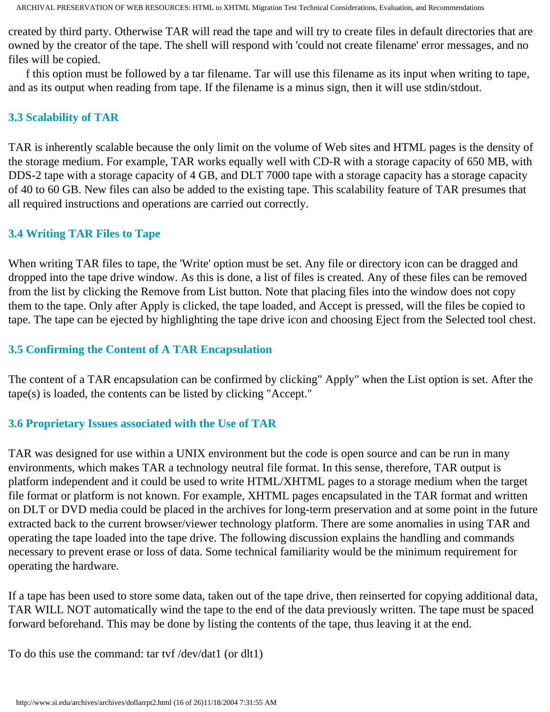created by third party. Otherwise TAR will read the tape and will try to create files in default directories that are owned by the creator of the tape. The shell will respond with 'could not create filename' error messages, and no files will be copied.

 f this option must be followed by a tar filename. Tar will use this filename as its input when writing to tape, and as its output when reading from tape. If the filename is a minus sign, then it will use stdin/stdout.

#### <span id="page-15-0"></span>**3.3 Scalability of TAR**

TAR is inherently scalable because the only limit on the volume of Web sites and HTML pages is the density of the storage medium. For example, TAR works equally well with CD-R with a storage capacity of 650 MB, with DDS-2 tape with a storage capacity of 4 GB, and DLT 7000 tape with a storage capacity has a storage capacity of 40 to 60 GB. New files can also be added to the existing tape. This scalability feature of TAR presumes that all required instructions and operations are carried out correctly.

#### <span id="page-15-1"></span>**3.4 Writing TAR Files to Tape**

When writing TAR files to tape, the 'Write' option must be set. Any file or directory icon can be dragged and dropped into the tape drive window. As this is done, a list of files is created. Any of these files can be removed from the list by clicking the Remove from List button. Note that placing files into the window does not copy them to the tape. Only after Apply is clicked, the tape loaded, and Accept is pressed, will the files be copied to tape. The tape can be ejected by highlighting the tape drive icon and choosing Eject from the Selected tool chest.

#### <span id="page-15-2"></span>**3.5 Confirming the Content of A TAR Encapsulation**

The content of a TAR encapsulation can be confirmed by clicking" Apply" when the List option is set. After the tape(s) is loaded, the contents can be listed by clicking "Accept."

#### <span id="page-15-3"></span>**3.6 Proprietary Issues associated with the Use of TAR**

TAR was designed for use within a UNIX environment but the code is open source and can be run in many environments, which makes TAR a technology neutral file format. In this sense, therefore, TAR output is platform independent and it could be used to write HTML/XHTML pages to a storage medium when the target file format or platform is not known. For example, XHTML pages encapsulated in the TAR format and written on DLT or DVD media could be placed in the archives for long-term preservation and at some point in the future extracted back to the current browser/viewer technology platform. There are some anomalies in using TAR and operating the tape loaded into the tape drive. The following discussion explains the handling and commands necessary to prevent erase or loss of data. Some technical familiarity would be the minimum requirement for operating the hardware.

If a tape has been used to store some data, taken out of the tape drive, then reinserted for copying additional data, TAR WILL NOT automatically wind the tape to the end of the data previously written. The tape must be spaced forward beforehand. This may be done by listing the contents of the tape, thus leaving it at the end.

To do this use the command: tar tvf /dev/dat1 (or dlt1)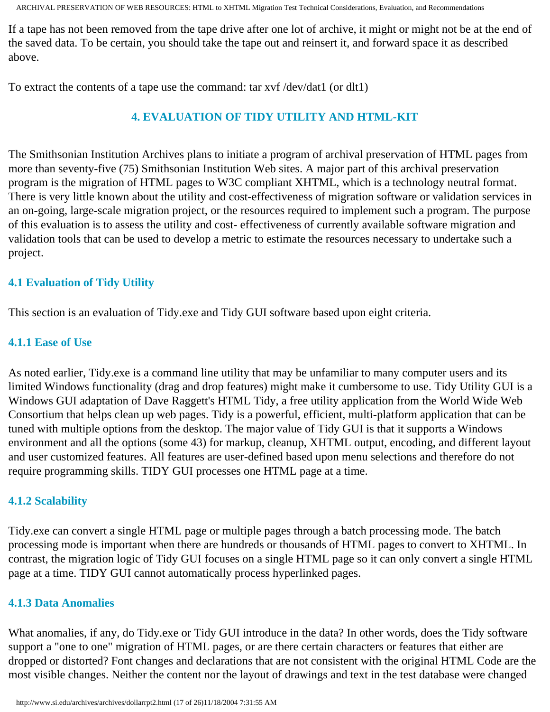If a tape has not been removed from the tape drive after one lot of archive, it might or might not be at the end of the saved data. To be certain, you should take the tape out and reinsert it, and forward space it as described above.

<span id="page-16-0"></span>To extract the contents of a tape use the command: tar xvf /dev/dat1 (or dlt1)

## **4. EVALUATION OF TIDY UTILITY AND HTML-KIT**

The Smithsonian Institution Archives plans to initiate a program of archival preservation of HTML pages from more than seventy-five (75) Smithsonian Institution Web sites. A major part of this archival preservation program is the migration of HTML pages to W3C compliant XHTML, which is a technology neutral format. There is very little known about the utility and cost-effectiveness of migration software or validation services in an on-going, large-scale migration project, or the resources required to implement such a program. The purpose of this evaluation is to assess the utility and cost- effectiveness of currently available software migration and validation tools that can be used to develop a metric to estimate the resources necessary to undertake such a project.

#### **4.1 Evaluation of Tidy Utility**

This section is an evaluation of Tidy.exe and Tidy GUI software based upon eight criteria.

#### **4.1.1 Ease of Use**

As noted earlier, Tidy.exe is a command line utility that may be unfamiliar to many computer users and its limited Windows functionality (drag and drop features) might make it cumbersome to use. Tidy Utility GUI is a Windows GUI adaptation of Dave Raggett's HTML Tidy, a free utility application from the World Wide Web Consortium that helps clean up web pages. Tidy is a powerful, efficient, multi-platform application that can be tuned with multiple options from the desktop. The major value of Tidy GUI is that it supports a Windows environment and all the options (some 43) for markup, cleanup, XHTML output, encoding, and different layout and user customized features. All features are user-defined based upon menu selections and therefore do not require programming skills. TIDY GUI processes one HTML page at a time.

#### **4.1.2 Scalability**

Tidy.exe can convert a single HTML page or multiple pages through a batch processing mode. The batch processing mode is important when there are hundreds or thousands of HTML pages to convert to XHTML. In contrast, the migration logic of Tidy GUI focuses on a single HTML page so it can only convert a single HTML page at a time. TIDY GUI cannot automatically process hyperlinked pages.

#### **4.1.3 Data Anomalies**

What anomalies, if any, do Tidy.exe or Tidy GUI introduce in the data? In other words, does the Tidy software support a "one to one" migration of HTML pages, or are there certain characters or features that either are dropped or distorted? Font changes and declarations that are not consistent with the original HTML Code are the most visible changes. Neither the content nor the layout of drawings and text in the test database were changed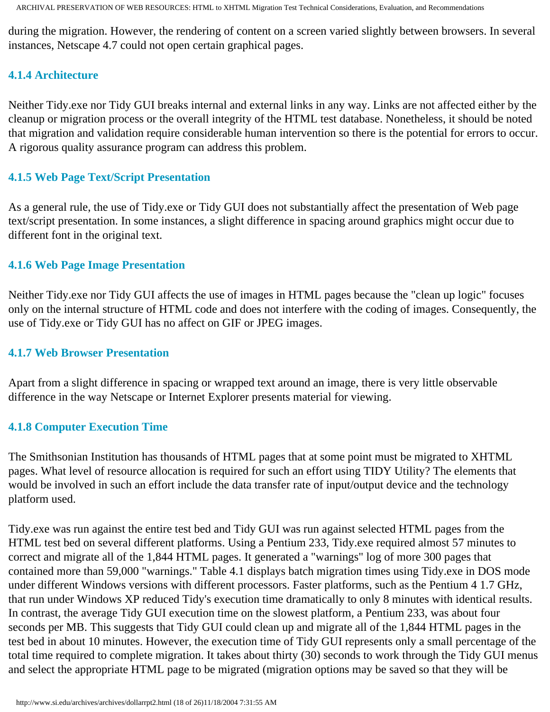during the migration. However, the rendering of content on a screen varied slightly between browsers. In several instances, Netscape 4.7 could not open certain graphical pages.

#### **4.1.4 Architecture**

Neither Tidy.exe nor Tidy GUI breaks internal and external links in any way. Links are not affected either by the cleanup or migration process or the overall integrity of the HTML test database. Nonetheless, it should be noted that migration and validation require considerable human intervention so there is the potential for errors to occur. A rigorous quality assurance program can address this problem.

### **4.1.5 Web Page Text/Script Presentation**

As a general rule, the use of Tidy.exe or Tidy GUI does not substantially affect the presentation of Web page text/script presentation. In some instances, a slight difference in spacing around graphics might occur due to different font in the original text.

#### **4.1.6 Web Page Image Presentation**

Neither Tidy.exe nor Tidy GUI affects the use of images in HTML pages because the "clean up logic" focuses only on the internal structure of HTML code and does not interfere with the coding of images. Consequently, the use of Tidy.exe or Tidy GUI has no affect on GIF or JPEG images.

### **4.1.7 Web Browser Presentation**

Apart from a slight difference in spacing or wrapped text around an image, there is very little observable difference in the way Netscape or Internet Explorer presents material for viewing.

#### **4.1.8 Computer Execution Time**

The Smithsonian Institution has thousands of HTML pages that at some point must be migrated to XHTML pages. What level of resource allocation is required for such an effort using TIDY Utility? The elements that would be involved in such an effort include the data transfer rate of input/output device and the technology platform used.

Tidy.exe was run against the entire test bed and Tidy GUI was run against selected HTML pages from the HTML test bed on several different platforms. Using a Pentium 233, Tidy.exe required almost 57 minutes to correct and migrate all of the 1,844 HTML pages. It generated a "warnings" log of more 300 pages that contained more than 59,000 "warnings." Table 4.1 displays batch migration times using Tidy.exe in DOS mode under different Windows versions with different processors. Faster platforms, such as the Pentium 4 1.7 GHz, that run under Windows XP reduced Tidy's execution time dramatically to only 8 minutes with identical results. In contrast, the average Tidy GUI execution time on the slowest platform, a Pentium 233, was about four seconds per MB. This suggests that Tidy GUI could clean up and migrate all of the 1,844 HTML pages in the test bed in about 10 minutes. However, the execution time of Tidy GUI represents only a small percentage of the total time required to complete migration. It takes about thirty (30) seconds to work through the Tidy GUI menus and select the appropriate HTML page to be migrated (migration options may be saved so that they will be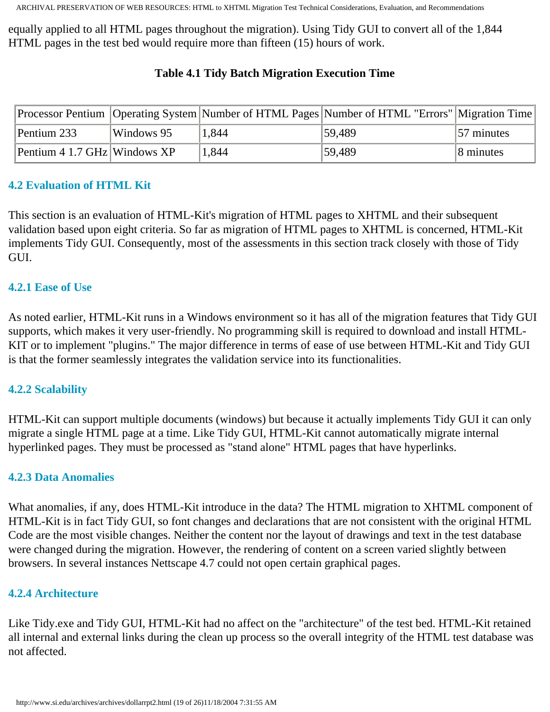equally applied to all HTML pages throughout the migration). Using Tidy GUI to convert all of the 1,844 HTML pages in the test bed would require more than fifteen (15) hours of work.

|                              |            |       | Processor Pentium   Operating System   Number of HTML Pages   Number of HTML "Errors"   Migration Time |                       |
|------------------------------|------------|-------|--------------------------------------------------------------------------------------------------------|-----------------------|
| Pentium 233                  | Windows 95 | 1.844 | 59,489                                                                                                 | 57 minutes            |
| Pentium 4 1.7 GHz Windows XP |            | 1,844 | 159,489                                                                                                | $ 8 \text{ minutes} $ |

### **Table 4.1 Tidy Batch Migration Execution Time**

#### <span id="page-18-0"></span>**4.2 Evaluation of HTML Kit**

This section is an evaluation of HTML-Kit's migration of HTML pages to XHTML and their subsequent validation based upon eight criteria. So far as migration of HTML pages to XHTML is concerned, HTML-Kit implements Tidy GUI. Consequently, most of the assessments in this section track closely with those of Tidy GUI.

#### <span id="page-18-1"></span>**4.2.1 Ease of Use**

As noted earlier, HTML-Kit runs in a Windows environment so it has all of the migration features that Tidy GUI supports, which makes it very user-friendly. No programming skill is required to download and install HTML-KIT or to implement "plugins." The major difference in terms of ease of use between HTML-Kit and Tidy GUI is that the former seamlessly integrates the validation service into its functionalities.

#### <span id="page-18-2"></span>**4.2.2 Scalability**

HTML-Kit can support multiple documents (windows) but because it actually implements Tidy GUI it can only migrate a single HTML page at a time. Like Tidy GUI, HTML-Kit cannot automatically migrate internal hyperlinked pages. They must be processed as "stand alone" HTML pages that have hyperlinks.

#### <span id="page-18-3"></span>**4.2.3 Data Anomalies**

What anomalies, if any, does HTML-Kit introduce in the data? The HTML migration to XHTML component of HTML-Kit is in fact Tidy GUI, so font changes and declarations that are not consistent with the original HTML Code are the most visible changes. Neither the content nor the layout of drawings and text in the test database were changed during the migration. However, the rendering of content on a screen varied slightly between browsers. In several instances Nettscape 4.7 could not open certain graphical pages.

#### <span id="page-18-4"></span>**4.2.4 Architecture**

<span id="page-18-5"></span>Like Tidy.exe and Tidy GUI, HTML-Kit had no affect on the "architecture" of the test bed. HTML-Kit retained all internal and external links during the clean up process so the overall integrity of the HTML test database was not affected.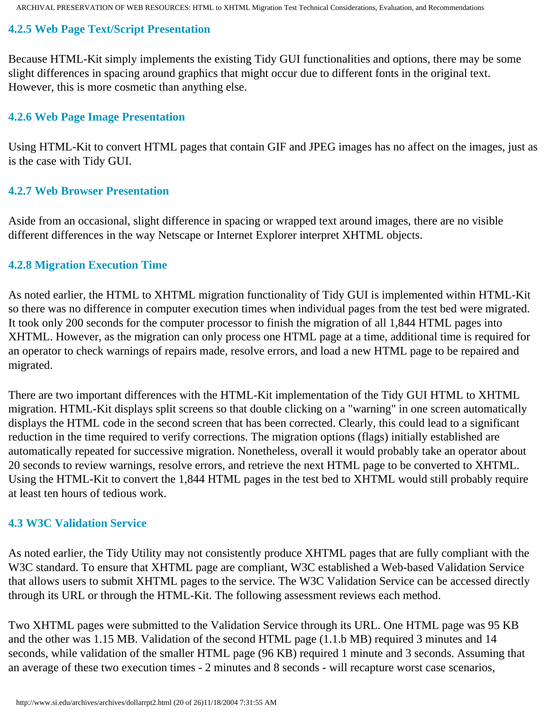#### **4.2.5 Web Page Text/Script Presentation**

Because HTML-Kit simply implements the existing Tidy GUI functionalities and options, there may be some slight differences in spacing around graphics that might occur due to different fonts in the original text. However, this is more cosmetic than anything else.

#### <span id="page-19-0"></span>**4.2.6 Web Page Image Presentation**

Using HTML-Kit to convert HTML pages that contain GIF and JPEG images has no affect on the images, just as is the case with Tidy GUI.

#### <span id="page-19-1"></span>**4.2.7 Web Browser Presentation**

Aside from an occasional, slight difference in spacing or wrapped text around images, there are no visible different differences in the way Netscape or Internet Explorer interpret XHTML objects.

#### <span id="page-19-2"></span>**4.2.8 Migration Execution Time**

As noted earlier, the HTML to XHTML migration functionality of Tidy GUI is implemented within HTML-Kit so there was no difference in computer execution times when individual pages from the test bed were migrated. It took only 200 seconds for the computer processor to finish the migration of all 1,844 HTML pages into XHTML. However, as the migration can only process one HTML page at a time, additional time is required for an operator to check warnings of repairs made, resolve errors, and load a new HTML page to be repaired and migrated.

There are two important differences with the HTML-Kit implementation of the Tidy GUI HTML to XHTML migration. HTML-Kit displays split screens so that double clicking on a "warning" in one screen automatically displays the HTML code in the second screen that has been corrected. Clearly, this could lead to a significant reduction in the time required to verify corrections. The migration options (flags) initially established are automatically repeated for successive migration. Nonetheless, overall it would probably take an operator about 20 seconds to review warnings, resolve errors, and retrieve the next HTML page to be converted to XHTML. Using the HTML-Kit to convert the 1,844 HTML pages in the test bed to XHTML would still probably require at least ten hours of tedious work.

#### **4.3 W3C Validation Service**

As noted earlier, the Tidy Utility may not consistently produce XHTML pages that are fully compliant with the W3C standard. To ensure that XHTML page are compliant, W3C established a Web-based Validation Service that allows users to submit XHTML pages to the service. The W3C Validation Service can be accessed directly through its URL or through the HTML-Kit. The following assessment reviews each method.

Two XHTML pages were submitted to the Validation Service through its URL. One HTML page was 95 KB and the other was 1.15 MB. Validation of the second HTML page (1.1.b MB) required 3 minutes and 14 seconds, while validation of the smaller HTML page (96 KB) required 1 minute and 3 seconds. Assuming that an average of these two execution times - 2 minutes and 8 seconds - will recapture worst case scenarios,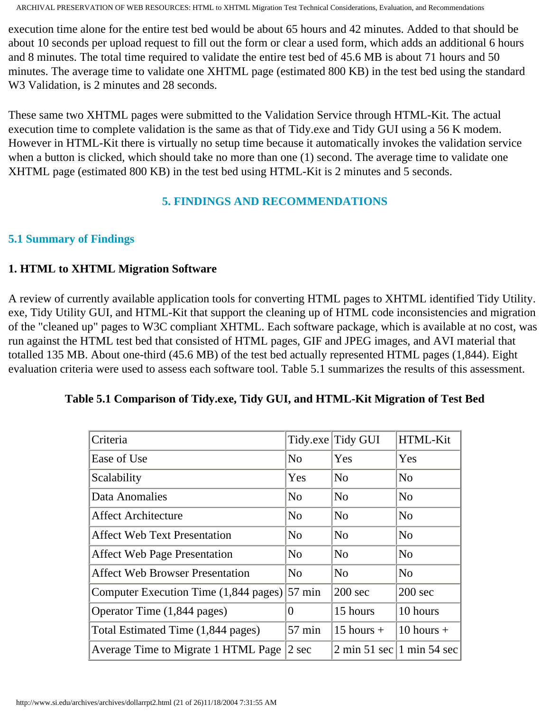execution time alone for the entire test bed would be about 65 hours and 42 minutes. Added to that should be about 10 seconds per upload request to fill out the form or clear a used form, which adds an additional 6 hours and 8 minutes. The total time required to validate the entire test bed of 45.6 MB is about 71 hours and 50 minutes. The average time to validate one XHTML page (estimated 800 KB) in the test bed using the standard W<sub>3</sub> Validation, is 2 minutes and 28 seconds.

These same two XHTML pages were submitted to the Validation Service through HTML-Kit. The actual execution time to complete validation is the same as that of Tidy.exe and Tidy GUI using a 56 K modem. However in HTML-Kit there is virtually no setup time because it automatically invokes the validation service when a button is clicked, which should take no more than one (1) second. The average time to validate one XHTML page (estimated 800 KB) in the test bed using HTML-Kit is 2 minutes and 5 seconds.

### **5. FINDINGS AND RECOMMENDATIONS**

#### <span id="page-20-0"></span>**5.1 Summary of Findings**

#### **1. HTML to XHTML Migration Software**

A review of currently available application tools for converting HTML pages to XHTML identified Tidy Utility. exe, Tidy Utility GUI, and HTML-Kit that support the cleaning up of HTML code inconsistencies and migration of the "cleaned up" pages to W3C compliant XHTML. Each software package, which is available at no cost, was run against the HTML test bed that consisted of HTML pages, GIF and JPEG images, and AVI material that totalled 135 MB. About one-third (45.6 MB) of the test bed actually represented HTML pages (1,844). Eight evaluation criteria were used to assess each software tool. Table 5.1 summarizes the results of this assessment.

| Criteria                               |                  | Tidy.exe Tidy GUI | HTML-Kit                                                        |
|----------------------------------------|------------------|-------------------|-----------------------------------------------------------------|
| Ease of Use                            | No               | Yes               | Yes                                                             |
| Scalability                            | Yes              | N <sub>0</sub>    | N <sub>0</sub>                                                  |
| Data Anomalies                         | N <sub>0</sub>   | N <sub>0</sub>    | N <sub>0</sub>                                                  |
| <b>Affect Architecture</b>             | No               | N <sub>0</sub>    | N <sub>0</sub>                                                  |
| <b>Affect Web Text Presentation</b>    | N <sub>0</sub>   | N <sub>0</sub>    | No                                                              |
| <b>Affect Web Page Presentation</b>    | N <sub>0</sub>   | N <sub>0</sub>    | N <sub>0</sub>                                                  |
| <b>Affect Web Browser Presentation</b> | N <sub>0</sub>   | N <sub>0</sub>    | N <sub>0</sub>                                                  |
| Computer Execution Time (1,844 pages)  | $57$ min         | $200 \text{ sec}$ | $200$ sec                                                       |
| Operator Time (1,844 pages)            | $\theta$         | 15 hours          | 10 hours                                                        |
| Total Estimated Time (1,844 pages)     | $57 \text{ min}$ | $15$ hours +      | $10$ hours $+$                                                  |
| Average Time to Migrate 1 HTML Page    | $2 \text{ sec}$  |                   | $2 \text{ min } 51 \text{ sec }  1 \text{ min } 54 \text{ sec}$ |

#### **Table 5.1 Comparison of Tidy.exe, Tidy GUI, and HTML-Kit Migration of Test Bed**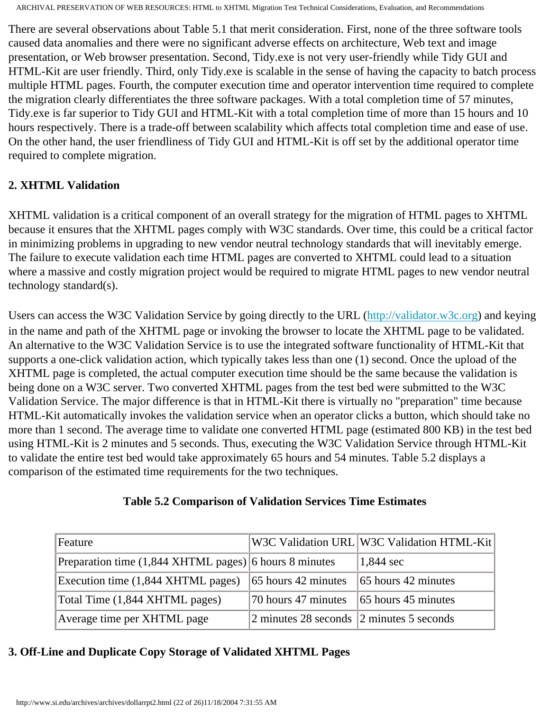There are several observations about Table 5.1 that merit consideration. First, none of the three software tools caused data anomalies and there were no significant adverse effects on architecture, Web text and image presentation, or Web browser presentation. Second, Tidy.exe is not very user-friendly while Tidy GUI and HTML-Kit are user friendly. Third, only Tidy.exe is scalable in the sense of having the capacity to batch process multiple HTML pages. Fourth, the computer execution time and operator intervention time required to complete the migration clearly differentiates the three software packages. With a total completion time of 57 minutes, Tidy.exe is far superior to Tidy GUI and HTML-Kit with a total completion time of more than 15 hours and 10 hours respectively. There is a trade-off between scalability which affects total completion time and ease of use. On the other hand, the user friendliness of Tidy GUI and HTML-Kit is off set by the additional operator time required to complete migration.

### **2. XHTML Validation**

XHTML validation is a critical component of an overall strategy for the migration of HTML pages to XHTML because it ensures that the XHTML pages comply with W3C standards. Over time, this could be a critical factor in minimizing problems in upgrading to new vendor neutral technology standards that will inevitably emerge. The failure to execute validation each time HTML pages are converted to XHTML could lead to a situation where a massive and costly migration project would be required to migrate HTML pages to new vendor neutral technology standard(s).

Users can access the W3C Validation Service by going directly to the URL ([http://validator.w3c.org\)](http://validator.w3.org/) and keying in the name and path of the XHTML page or invoking the browser to locate the XHTML page to be validated. An alternative to the W3C Validation Service is to use the integrated software functionality of HTML-Kit that supports a one-click validation action, which typically takes less than one (1) second. Once the upload of the XHTML page is completed, the actual computer execution time should be the same because the validation is being done on a W3C server. Two converted XHTML pages from the test bed were submitted to the W3C Validation Service. The major difference is that in HTML-Kit there is virtually no "preparation" time because HTML-Kit automatically invokes the validation service when an operator clicks a button, which should take no more than 1 second. The average time to validate one converted HTML page (estimated 800 KB) in the test bed using HTML-Kit is 2 minutes and 5 seconds. Thus, executing the W3C Validation Service through HTML-Kit to validate the entire test bed would take approximately 65 hours and 54 minutes. Table 5.2 displays a comparison of the estimated time requirements for the two techniques.

| W3C Validation URL W3C Validation HTI |  |
|---------------------------------------|--|

#### **Table 5.2 Comparison of Validation Services Time Estimates**

| Feature                                                          |                                                           | W3C Validation URL W3C Validation HTML-Kit |
|------------------------------------------------------------------|-----------------------------------------------------------|--------------------------------------------|
| Preparation time $(1,844 \text{ XHTML pages})$ 6 hours 8 minutes |                                                           | $\vert 1, 844 \text{ sec} \vert$           |
| Execution time (1,844 XHTML pages)                               | $\vert$ 65 hours 42 minutes                               | $ 65$ hours 42 minutes                     |
| Total Time (1,844 XHTML pages)                                   | $\sqrt{70}$ hours 47 minutes $\sqrt{65}$ hours 45 minutes |                                            |
| Average time per XHTML page                                      | $\vert$ 2 minutes 28 seconds $\vert$ 2 minutes 5 seconds  |                                            |

#### **3. Off-Line and Duplicate Copy Storage of Validated XHTML Pages**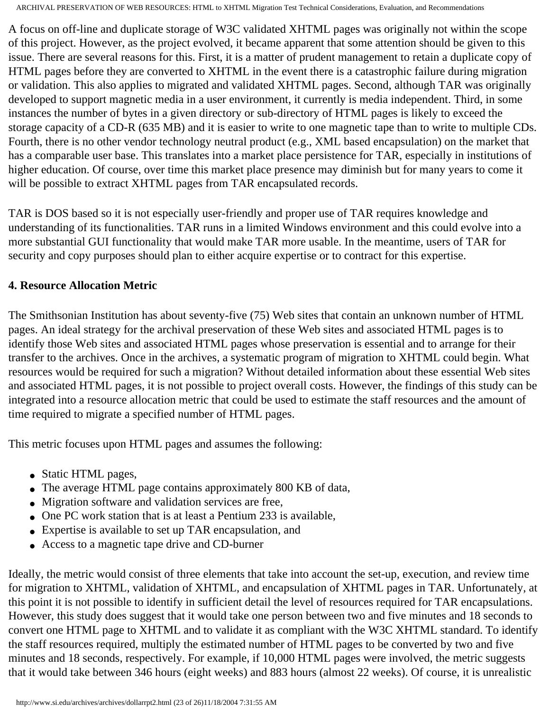A focus on off-line and duplicate storage of W3C validated XHTML pages was originally not within the scope of this project. However, as the project evolved, it became apparent that some attention should be given to this issue. There are several reasons for this. First, it is a matter of prudent management to retain a duplicate copy of HTML pages before they are converted to XHTML in the event there is a catastrophic failure during migration or validation. This also applies to migrated and validated XHTML pages. Second, although TAR was originally developed to support magnetic media in a user environment, it currently is media independent. Third, in some instances the number of bytes in a given directory or sub-directory of HTML pages is likely to exceed the storage capacity of a CD-R (635 MB) and it is easier to write to one magnetic tape than to write to multiple CDs. Fourth, there is no other vendor technology neutral product (e.g., XML based encapsulation) on the market that has a comparable user base. This translates into a market place persistence for TAR, especially in institutions of higher education. Of course, over time this market place presence may diminish but for many years to come it will be possible to extract XHTML pages from TAR encapsulated records.

TAR is DOS based so it is not especially user-friendly and proper use of TAR requires knowledge and understanding of its functionalities. TAR runs in a limited Windows environment and this could evolve into a more substantial GUI functionality that would make TAR more usable. In the meantime, users of TAR for security and copy purposes should plan to either acquire expertise or to contract for this expertise.

#### **4. Resource Allocation Metric**

The Smithsonian Institution has about seventy-five (75) Web sites that contain an unknown number of HTML pages. An ideal strategy for the archival preservation of these Web sites and associated HTML pages is to identify those Web sites and associated HTML pages whose preservation is essential and to arrange for their transfer to the archives. Once in the archives, a systematic program of migration to XHTML could begin. What resources would be required for such a migration? Without detailed information about these essential Web sites and associated HTML pages, it is not possible to project overall costs. However, the findings of this study can be integrated into a resource allocation metric that could be used to estimate the staff resources and the amount of time required to migrate a specified number of HTML pages.

This metric focuses upon HTML pages and assumes the following:

- Static HTML pages,
- The average HTML page contains approximately 800 KB of data,
- Migration software and validation services are free,
- One PC work station that is at least a Pentium 233 is available,
- Expertise is available to set up TAR encapsulation, and
- Access to a magnetic tape drive and CD-burner

Ideally, the metric would consist of three elements that take into account the set-up, execution, and review time for migration to XHTML, validation of XHTML, and encapsulation of XHTML pages in TAR. Unfortunately, at this point it is not possible to identify in sufficient detail the level of resources required for TAR encapsulations. However, this study does suggest that it would take one person between two and five minutes and 18 seconds to convert one HTML page to XHTML and to validate it as compliant with the W3C XHTML standard. To identify the staff resources required, multiply the estimated number of HTML pages to be converted by two and five minutes and 18 seconds, respectively. For example, if 10,000 HTML pages were involved, the metric suggests that it would take between 346 hours (eight weeks) and 883 hours (almost 22 weeks). Of course, it is unrealistic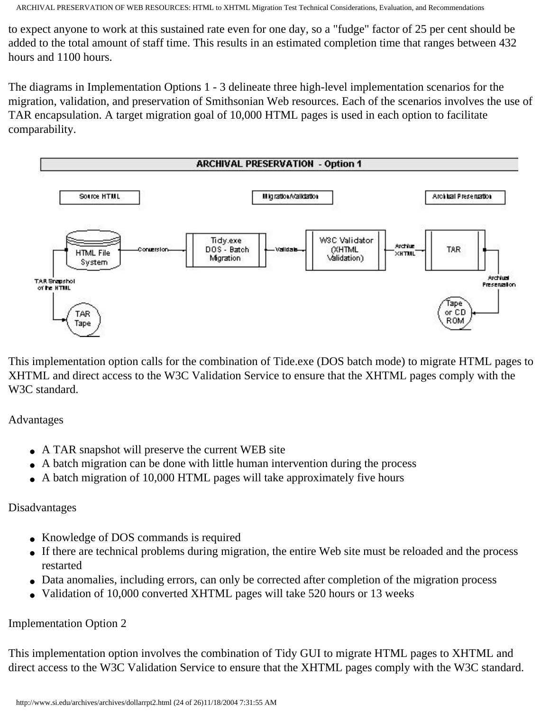to expect anyone to work at this sustained rate even for one day, so a "fudge" factor of 25 per cent should be added to the total amount of staff time. This results in an estimated completion time that ranges between 432 hours and 1100 hours.

The diagrams in Implementation Options 1 - 3 delineate three high-level implementation scenarios for the migration, validation, and preservation of Smithsonian Web resources. Each of the scenarios involves the use of TAR encapsulation. A target migration goal of 10,000 HTML pages is used in each option to facilitate comparability.



This implementation option calls for the combination of Tide.exe (DOS batch mode) to migrate HTML pages to XHTML and direct access to the W3C Validation Service to ensure that the XHTML pages comply with the W3C standard.

Advantages

- A TAR snapshot will preserve the current WEB site
- A batch migration can be done with little human intervention during the process
- A batch migration of 10,000 HTML pages will take approximately five hours

#### Disadvantages

- Knowledge of DOS commands is required
- If there are technical problems during migration, the entire Web site must be reloaded and the process restarted
- Data anomalies, including errors, can only be corrected after completion of the migration process
- Validation of 10,000 converted XHTML pages will take 520 hours or 13 weeks

## Implementation Option 2

This implementation option involves the combination of Tidy GUI to migrate HTML pages to XHTML and direct access to the W3C Validation Service to ensure that the XHTML pages comply with the W3C standard.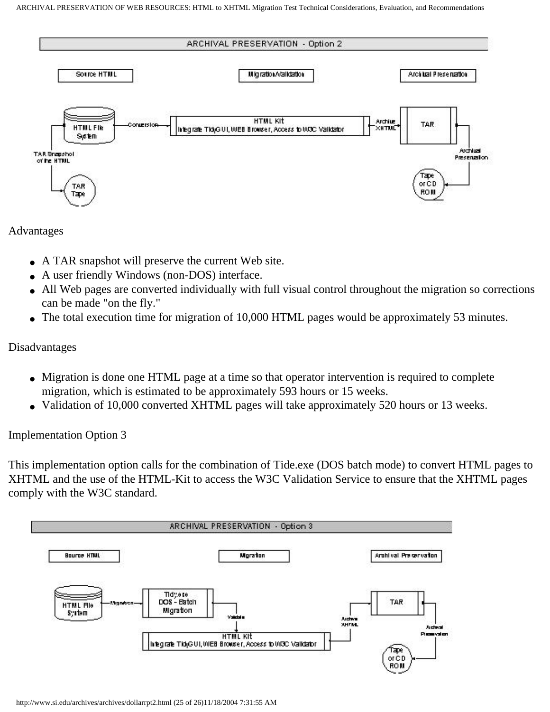

Advantages

- A TAR snapshot will preserve the current Web site.
- A user friendly Windows (non-DOS) interface.
- All Web pages are converted individually with full visual control throughout the migration so corrections can be made "on the fly."
- The total execution time for migration of 10,000 HTML pages would be approximately 53 minutes.

#### Disadvantages

- Migration is done one HTML page at a time so that operator intervention is required to complete migration, which is estimated to be approximately 593 hours or 15 weeks.
- Validation of 10,000 converted XHTML pages will take approximately 520 hours or 13 weeks.

Implementation Option 3

This implementation option calls for the combination of Tide.exe (DOS batch mode) to convert HTML pages to XHTML and the use of the HTML-Kit to access the W3C Validation Service to ensure that the XHTML pages comply with the W3C standard.